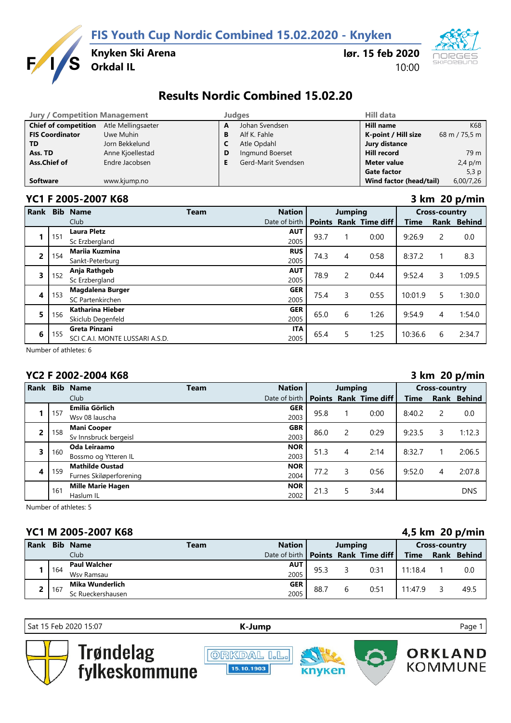**FIS Youth Cup Nordic Combined 15.02.2020 - Knyken**



**Knyken Ski Arena**

## **lør. 15 feb 2020** 10:00



# **Results Nordic Combined 15.02.20**

| <b>Jury / Competition Management</b> |                    |   | Judaes              | Hill data               |               |  |  |
|--------------------------------------|--------------------|---|---------------------|-------------------------|---------------|--|--|
| <b>Chief of competition</b>          | Atle Mellingsaeter | A | Johan Svendsen      | <b>Hill name</b>        | K68           |  |  |
| <b>FIS Coordinator</b>               | Uwe Muhin          | В | Alf K. Fahle        | K-point / Hill size     | 68 m / 75,5 m |  |  |
| TD.                                  | Jorn Bekkelund     |   | Atle Opdahl         | Jury distance           |               |  |  |
| Ass. TD                              | Anne Kjoellestad   | D | Ingmund Boerset     | Hill record             | 79 m          |  |  |
| Ass.Chief of                         | Endre Jacobsen     |   | Gerd-Marit Svendsen | Meter value             | $2,4$ p/m     |  |  |
|                                      |                    |   |                     | <b>Gate factor</b>      | 5,3p          |  |  |
| <b>Software</b>                      | www.kjump.no       |   |                     | Wind factor (head/tail) | 6,00/7,26     |  |  |

#### **YC1 F 2005-2007 K68 3 km 20 p/min**

| <b>Rank</b>    | <b>Bib</b>                                          | <b>Name</b>                     | Team | <b>Nation</b> | <b>Jumping</b> |   |                       | <b>Cross-country</b> |   |             |
|----------------|-----------------------------------------------------|---------------------------------|------|---------------|----------------|---|-----------------------|----------------------|---|-------------|
|                |                                                     | Club                            |      | Date of birth | <b>Points</b>  |   | <b>Rank Time diff</b> | Time                 |   | Rank Behind |
|                | 151                                                 | <b>Laura Pletz</b>              |      | <b>AUT</b>    | 93.7           |   | 0:00                  | 9:26.9               | 2 | 0.0         |
|                |                                                     | Sc Erzbergland                  |      | 2005          |                |   |                       |                      |   |             |
| $\overline{2}$ | 154                                                 | <b>Marija Kuzmina</b>           |      | <b>RUS</b>    | 74.3           | 4 | 0:58                  | 8:37.2               |   | 8.3         |
|                |                                                     | Sankt-Peterburg                 |      | 2005          |                |   |                       |                      |   |             |
| 3              | 152                                                 | Anja Rathgeb                    |      | <b>AUT</b>    | 78.9           | 2 | 0:44                  | 9:52.4               | 3 | 1:09.5      |
|                |                                                     | Sc Erzbergland                  |      | 2005          |                |   |                       |                      |   |             |
|                | 153                                                 | <b>Magdalena Burger</b>         |      | <b>GER</b>    | 75.4           | 3 | 0:55                  | 10:01.9              | 5 | 1:30.0      |
| 4              |                                                     | SC Partenkirchen                |      | 2005          |                |   |                       |                      |   |             |
| 5              | <b>Katharina Hieber</b><br>156<br>Skiclub Degenfeld |                                 |      | <b>GER</b>    | 65.0           | 6 | 1:26                  | 9:54.9               | 4 | 1:54.0      |
|                |                                                     |                                 |      | 2005          |                |   |                       |                      |   |             |
| 6              | 155                                                 | <b>Greta Pinzani</b>            |      | <b>ITA</b>    | 65.4           | 5 | 1:25                  | 10:36.6              | 6 |             |
|                |                                                     | SCI C.A.I. MONTE LUSSARI A.S.D. |      | 2005          |                |   |                       |                      |   | 2:34.7      |

Number of athletes: 6

## **YC2 F 2002-2004 K68 3 km 20 p/min**

|                         |     |                          |             |               |                |   |                       | $\sim$ $\sim$ $\sim$ $\sim$ |   |             |  |
|-------------------------|-----|--------------------------|-------------|---------------|----------------|---|-----------------------|-----------------------------|---|-------------|--|
| Rank                    |     | <b>Bib Name</b>          | <b>Team</b> | <b>Nation</b> | <b>Jumping</b> |   |                       | <b>Cross-country</b>        |   |             |  |
|                         |     | Club                     |             | Date of birth | <b>Points</b>  |   | <b>Rank Time diff</b> | Time                        |   | Rank Behind |  |
|                         | 157 | Emilia Görlich           |             | <b>GER</b>    | 95.8           |   | 0:00                  | 8:40.2                      | 2 | 0.0         |  |
|                         |     | Wsv 08 lauscha           |             | 2003          |                |   |                       |                             |   |             |  |
| 2                       | 158 | <b>Mani Cooper</b>       |             | <b>GBR</b>    | 86.0           | 2 | 0:29                  | 9:23.5                      | 3 | 1:12.3      |  |
|                         |     | Sv Innsbruck bergeisl    |             | 2003          |                |   |                       |                             |   |             |  |
| $\overline{\mathbf{3}}$ | 160 | Oda Leiraamo             |             | <b>NOR</b>    | 51.3           | 4 | 2:14                  | 8:32.7                      |   | 2:06.5      |  |
|                         |     | Bossmo og Ytteren IL     |             | 2003          |                |   |                       |                             |   |             |  |
| 4                       | 159 | <b>Mathilde Oustad</b>   |             | <b>NOR</b>    | 77.2           | 3 | 0:56                  | 9:52.0                      |   | 2:07.8      |  |
|                         |     | Furnes Skiløperforening  |             | 2004          |                |   |                       |                             | 4 |             |  |
|                         | 161 | <b>Mille Marie Hagen</b> |             | <b>NOR</b>    | 21.3           | 5 | 3:44                  |                             |   | <b>DNS</b>  |  |
|                         |     | Haslum IL                |             | 2002          |                |   |                       |                             |   |             |  |

Number of athletes: 5

## **YC1 M 2005-2007 K68 4,5 km 20 p/min**

| <b>Rank</b> |     | <b>Bib Name</b>     | <b>Team</b> | <b>Nation</b>                         | Jumping |   |      | <b>Cross-country</b> |  |             |
|-------------|-----|---------------------|-------------|---------------------------------------|---------|---|------|----------------------|--|-------------|
|             |     | Club                |             | Date of birth   Points Rank Time diff |         |   |      | <b>Time</b>          |  | Rank Behind |
|             | 164 | <b>Paul Walcher</b> |             | <b>AUT</b>                            | 95.3    |   | 0:31 | 11:18.4              |  | 0.0         |
|             |     | Wsv Ramsau          |             | 2005                                  |         |   |      |                      |  |             |
|             |     | Mika Wunderlich     |             | <b>GER</b>                            | 88.7    |   | 0:51 | 11:47.9              |  | 49.5        |
|             | 167 | Sc Rueckershausen   |             | 2005                                  |         | b |      |                      |  |             |

Sat 15 Feb 2020 15:07 **[K-J](http://kjump.no/)ump** Page 1

Trøndelag<br>fylkeskommune







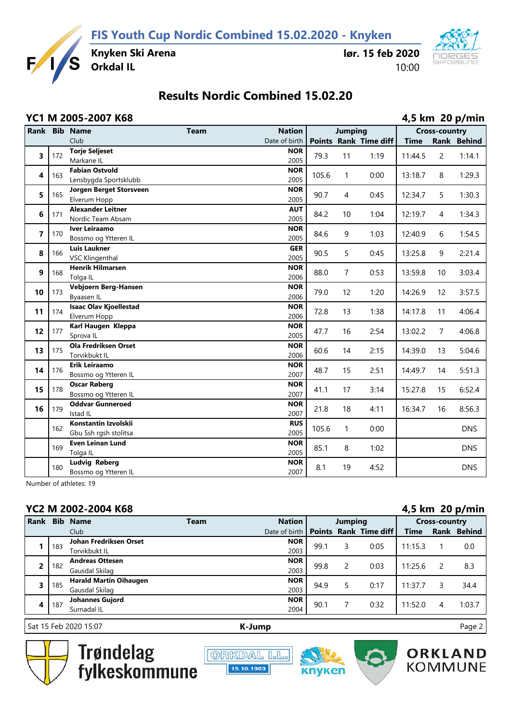

**Knyken Ski Arena**

### **lør. 15 feb 2020** 10:00



# **Results Nordic Combined 15.02.20**

#### **YC1 M 2005-2007 K68 4,5 km 20 p/min Rank Bib Name Team Nation Jumping Cross-country** Club Date of birth **Points Rank Time diff Time Rank Behind 3** 172 **Torje Seljeset** Markane IL **NOR**  $\begin{array}{|c|c|c|c|c|c|c|c|c|} \hline \text{2005} & \text{79.3} & \text{11} & \text{1:19} & \text{11:44.5} & \text{2} & \text{1:14.1} \ \hline \end{array}$ **4** 163 **Fabian Ostvold** Lensbygda Sportsklubb **NOR**  $\begin{array}{|l}\n 2005 \\
\end{array}$  105.6 1 0:00 13:18.7 8 1:29.3 **5** 165 **Jorgen Berget Storsveen** Elverum Hopp **NOR**  $\begin{array}{|c|c|c|c|c|c|c|c|c|} \hline \text{2005} & 90.7 & 4 & 0.45 & 12:34.7 & 5 & 1:30.3 \ \hline \end{array}$ **6** 171 **Alexander Leitner** Nordic Team Absam **AUT**  $\begin{array}{|c|c|c|c|c|c|c|c|c|} \hline \end{array}$  2005 84.2 10 1:04 12:19.7 4 1:34.3 **7** 170 **Iver Leiraamo** Bossmo og Ytteren IL **NOR**  $\begin{array}{|l|c|c|c|c|c|c|c|}\n\hline\n2005 & 84.6 & 9 & 1:03 & 12:40.9 & 6 & 1:54.5\n\end{array}$ **8** 166 **Luis Laukner** VSC Klingenthal **GER**  $\begin{array}{ccccccc} 2.211 & 90.5 & 5 & 0.45 & 13.25.8 & 9 & 2.21.4 \end{array}$ **9** 168 **Henrik Hilmarsen** Tolga IL **NOR**  $\begin{array}{|l|c|c|c|c|c|c|c|c|} \hline \text{2006} & \text{88.0} & \text{7} & \text{0:53} & \text{13:59.8} & \text{10} & \text{3:03.4} \ \hline \end{array}$ **10** 173 **Vebjoern Berg-Hansen** Byaasen IL **NOR**  $\begin{array}{|c|c|c|c|c|c|c|c|c|} \hline \text{2006} & \text{79.0} & \text{12} & \text{1:20} & \text{14:26.9} & \text{12} & \text{3:57.5} \ \hline \end{array}$ **11** 174 **Isaac Olav Kjoellestad** Elverum Hopp **NOR**  $\begin{array}{|l}\n 2006 \\
\end{array}$  72.8 13 1:38 14:17.8 11 4:06.4 **12** 177 **Karl Haugen Kleppa** Sprova IL **NOR**  $\begin{array}{|l}\n 2005 \\
47.7 \\
16 \\
2.54 \\
13.02.2 \\
7 \\
4.06.8\n\end{array}$ **13** 175 **Ola Fredriksen Orset** Torvikbukt IL **NOR**  $\begin{array}{|l|c|c|c|c|c|c|c|c|} \hline \text{2006} & \text{60.6} & \text{14} & \text{2:15} & \text{14:39.0} & \text{13} & \text{5:04.6} \hline \end{array}$ **14** 176 **Erik Leiraamo** Bossmo og Ytteren IL **NOR**  $\begin{array}{|l|c|c|c|c|c|c|c|}\n\hline\n2007 & 48.7 & 15 & 2:51 & 14:49.7 & 14 & 5:51.3\n\end{array}$ **15** 178 **Oscar Røberg** Bossmo og Ytteren IL **NOR**  $\begin{array}{|c|c|c|c|c|c|c|}\n\hline\n2007 & 41.1 & 17 & 3:14 & 15:27.8 & 15 & 6:52.4\n\hline\n\end{array}$ **16** 179 **Oddvar Gunneroed** Istad IL **NOR**  $\begin{array}{|l|c|c|c|c|c|c|c|c|} \hline \text{21.8} & \text{18} & \text{4.11} & \text{16.34.7} & \text{16} & \text{8.56.3} \ \hline \end{array}$ 162 **Konstantin Izvolskii** Gbu Ssh rgsh stolitsa **RUS**  $\begin{array}{|c|c|c|c|c|c|} \hline \text{105.6} & \text{1} & \text{0:00} & \text{0.00} \ \hline \end{array}$ 169 **Even Leinan Lund** Tolga IL **NOR**  $\begin{array}{|c|c|c|c|c|c|c|c|} \hline \text{2005} & 85.1 & 8 & 1:02 & \text{DNS} \ \hline \end{array}$ 180 **Ludvig Røberg** Bossmo og Ytteren IL **NOR**  $\begin{array}{|c|c|c|c|c|c|}\n\hline\n2007 & 8.1 & 19 & 4:52\n\end{array}$  DNS

Number of athletes: 19

## **YC2 M 2002-2004 K68 4,5 km 20 p/min**

| T 96 IVI 6996 6997 IV99 |            |                               |             |               |               |   | $\neg$ in the set $\neg$ $\Box$ |                      |               |             |
|-------------------------|------------|-------------------------------|-------------|---------------|---------------|---|---------------------------------|----------------------|---------------|-------------|
| <b>Rank</b>             | <b>Bib</b> | <b>Name</b>                   | <b>Team</b> | <b>Nation</b> | Jumping       |   |                                 | <b>Cross-country</b> |               |             |
|                         |            | Club                          |             | Date of birth | <b>Points</b> |   | <b>Rank Time diff</b>           | Time                 |               | Rank Behind |
|                         | 183        | Johan Fredriksen Orset        |             | <b>NOR</b>    |               |   | 0:05                            | 11:15.3              |               |             |
|                         |            | Torvikbukt IL                 |             | 2003          | 99.1          |   |                                 |                      |               | 0.0         |
| $\overline{2}$          | 182        | <b>Andreas Ottesen</b>        |             | <b>NOR</b>    | 99.8          | 2 | 0:03                            | 11:25.6              | $\mathcal{P}$ | 8.3         |
|                         |            | Gausdal Skilag                |             | 2003          |               |   |                                 |                      |               |             |
| 3                       | 185        | <b>Harald Martin Oihaugen</b> |             | <b>NOR</b>    | 94.9          |   | 0:17                            | 11:37.7              | 3             | 34.4        |
|                         |            | Gausdal Skilag                |             | 2003          |               |   |                                 |                      |               |             |
| 4                       | 187        | Johannes Gujord               |             | <b>NOR</b>    | 90.1          |   | 0:32                            | 11:52.0              | 4             | 1:03.7      |
|                         |            | Surnadal IL                   |             | 2004          |               |   |                                 |                      |               |             |
|                         |            |                               |             |               |               |   |                                 |                      |               |             |

Sat 15 Feb 2020 15:07 **[K-J](http://kjump.no/)ump** Page 2



**Trøndelag** fvlkeskommune